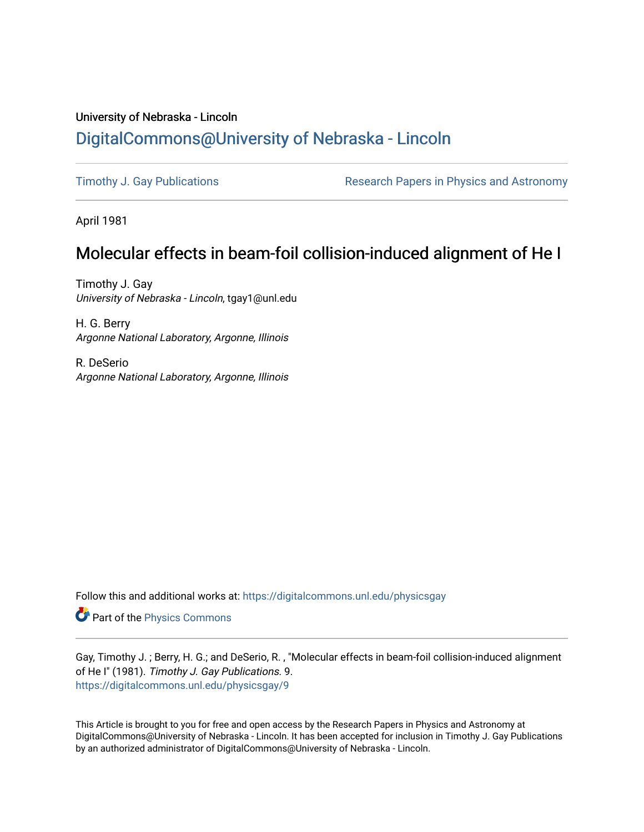## University of Nebraska - Lincoln [DigitalCommons@University of Nebraska - Lincoln](https://digitalcommons.unl.edu/)

[Timothy J. Gay Publications](https://digitalcommons.unl.edu/physicsgay) **Research Papers in Physics and Astronomy** 

April 1981

# Molecular effects in beam-foil collision-induced alignment of He I

Timothy J. Gay University of Nebraska - Lincoln, tgay1@unl.edu

H. G. Berry Argonne National Laboratory, Argonne, Illinois

R. DeSerio Argonne National Laboratory, Argonne, Illinois

Follow this and additional works at: [https://digitalcommons.unl.edu/physicsgay](https://digitalcommons.unl.edu/physicsgay?utm_source=digitalcommons.unl.edu%2Fphysicsgay%2F9&utm_medium=PDF&utm_campaign=PDFCoverPages)

Part of the [Physics Commons](http://network.bepress.com/hgg/discipline/193?utm_source=digitalcommons.unl.edu%2Fphysicsgay%2F9&utm_medium=PDF&utm_campaign=PDFCoverPages)

Gay, Timothy J. ; Berry, H. G.; and DeSerio, R. , "Molecular effects in beam-foil collision-induced alignment of He I" (1981). Timothy J. Gay Publications. 9. [https://digitalcommons.unl.edu/physicsgay/9](https://digitalcommons.unl.edu/physicsgay/9?utm_source=digitalcommons.unl.edu%2Fphysicsgay%2F9&utm_medium=PDF&utm_campaign=PDFCoverPages)

This Article is brought to you for free and open access by the Research Papers in Physics and Astronomy at DigitalCommons@University of Nebraska - Lincoln. It has been accepted for inclusion in Timothy J. Gay Publications by an authorized administrator of DigitalCommons@University of Nebraska - Lincoln.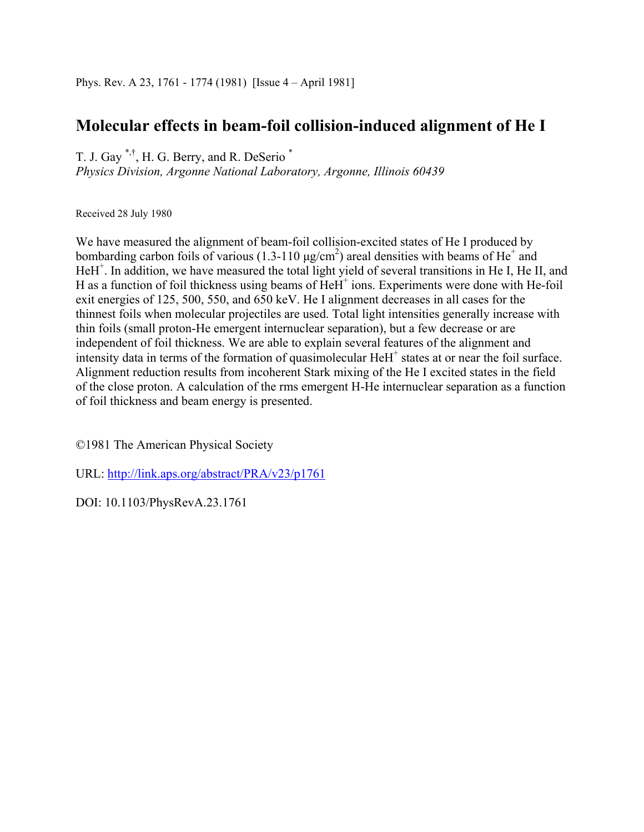## **Molecular effects in beam-foil collision-induced alignment of He I**

T. J. Gay \*,†, H. G. Berry, and R. DeSerio \*

*Physics Division, Argonne National Laboratory, Argonne, Illinois 60439* 

Received 28 July 1980

We have measured the alignment of beam-foil collision-excited states of He I produced by bombarding carbon foils of various (1.3-110  $\mu$ g/cm<sup>2</sup>) areal densities with beams of He<sup>+</sup> and HeH<sup>+</sup>. In addition, we have measured the total light yield of several transitions in He I, He II, and H as a function of foil thickness using beams of HeH<sup>+</sup> ions. Experiments were done with He-foil exit energies of 125, 500, 550, and 650 keV. He I alignment decreases in all cases for the thinnest foils when molecular projectiles are used. Total light intensities generally increase with thin foils (small proton-He emergent internuclear separation), but a few decrease or are independent of foil thickness. We are able to explain several features of the alignment and intensity data in terms of the formation of quasimolecular HeH<sup>+</sup> states at or near the foil surface. Alignment reduction results from incoherent Stark mixing of the He I excited states in the field of the close proton. A calculation of the rms emergent H-He internuclear separation as a function of foil thickness and beam energy is presented.

©1981 The American Physical Society

URL: http://link.aps.org/abstract/PRA/v23/p1761

DOI: 10.1103/PhysRevA.23.1761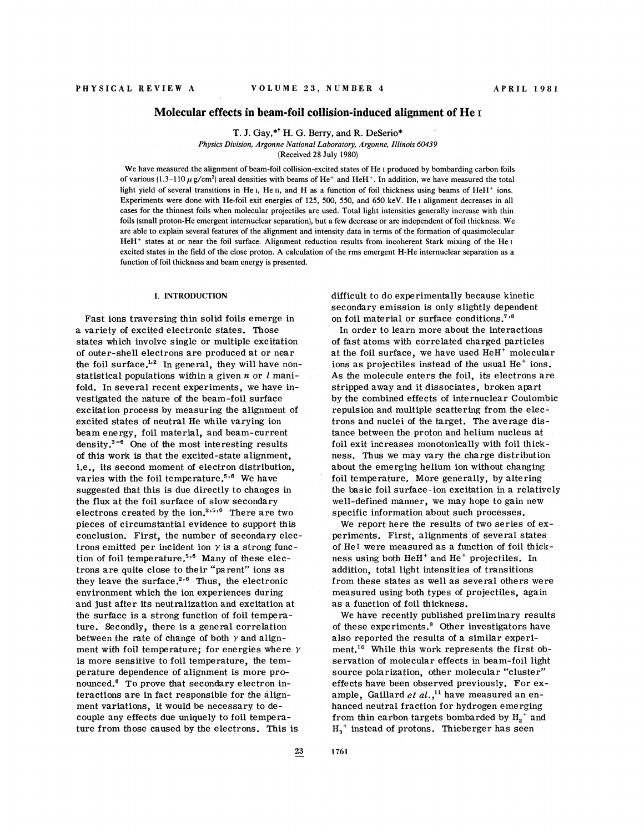## **Molecular effects in beam-foil collision-induced alignment of He I**

T. J. Gay,\*<sup>†</sup> H. G. Berry, and R. DeSerio\*

*Physics Division, Argonne National Laboratory, Argonne, Illinois 60439* 

(Received 28 July 1980)

We have measured the alignment of beam-foil collision-excited states of He I produced by bombarding carbon foils of various (1.3-110  $\mu$  g/cm<sup>2</sup>) areal densities with beams of He<sup>+</sup> and HeH<sup>+</sup>. In addition, we have measured the total light yield of several transitions in He I, He II, and H as a function of foil thickness using beams of HeH<sup>+</sup> ions. Experiments were done with He-foil exit energies of 125, 500, 550, and 650 keV. He I alignment decreases in all cases for the thinnest foils when molecular projectiles are used. Total light intensities generally increase with thin foils (small proton-He emergent internuclear separation), but a few decrease or are independent of foil thickness. We are able to explain several features of the alignment and intensity data in terms of the formation of quasimolecular HeH<sup>+</sup> states at or near the foil surface. Alignment reduction results from incoherent Stark mixing of the He<sub>I</sub> excited states in the field of the close proton. **A** calculation of the rms emergent H-He internuclear separation as a function of foil thickness and beam energy is presented.

#### **I. INTRODUCTION**

Fast ions traversing thin solid foils emerge in a variety of excited electronic states. Those states which involve single or multiple excitation of outer-shell electrons are produced at or near the foil surface. $^{1,2}$  In general, they will have nonstatistical populations within a given  $n$  or  $l$  manifold. In several recent experiments, we have investigated the nature of the beam-foil surface excitation process by measuring the alignment of excited states of neutral He while varying ion beam energy, foil material, and beam-current density. $3-6$  One of the most interesting results of this work is that the excited-state alignment, i.e., its second moment of electron distribution, varies with the foil temperature.<sup>5.6</sup> We have suggested that this is due directly to changes in the flux at the foil surface of slow secondary electrons created by the ion.<sup>2,5,6</sup> There are two pieces of circumstantial evidence to support this conclusion. First, the number of secondary electrons emitted per incident ion  $\gamma$  is a strong function of foil temperature. $5.6$  Many of these electrons are quite close to their "parent" ions as they leave the surface.<sup>2,6</sup> Thus, the electronic environment which the ion experiences during and just after its neutralization and excitation at the surface is a strong function of foil temperature. Secondly, there is a general correlation between the rate of change of both  $\gamma$  and alignment with foil temperature; for energies where  $\gamma$ is more sensitive to foil temperature, the temperature dependence of alignment is more pronounced.' To prove that secondary electron interactions are in fact responsible for the alignment variations, it would be necessary to decouple any effects due uniquely to foil temperature from those caused by the electrons. This is

difficult to do experimentally because kinetic secondary emission is only slightly dependent on foil material or surface conditions.<sup>7,8</sup>

In order to learn more about the interactions of fast atoms with correlated charged particles at the foil surface, we have used  $HeH<sup>+</sup>$  molecular ions as projectiles instead of the usual He<sup>+</sup> ions. As the molecule enters the foil, its electrons are stripped away and it dissociates, broken apart by the combined effects of internuclear Coulombic repulsion and multiple scattering from the electrons and nuclei of the target. The average distance between the proton and helium nucleus at foil exit increases monotonically with foil thickness. Thus we may vary the charge distribution about the emerging helium ion without changing foil temperature. More generally, by altering the basic foil surface-ion excitation in a relatively well-defined manner, we may hope to gain new specific information about such processes.

We report here the results of two series of experiments. First, alignments of several states of He1 were measured as a function of foil thickness using both HeH' and He' projectiles. In addition, total light intensities of transitions from these states as well as several others were measured using both types of projectiles, again as a function of foil thickness.

We have recently published preliminary results of these experiments. $9$  Other investigators have also reported the results of a similar experiment.<sup>10</sup> While this work represents the first observation of molecular effects in beam-foil light source polarization, other molecular "cluster" effects have been observed previously. For example, Gaillard *et al.*,<sup>11</sup> have measured an enhanced neutral fraction for hydrogen emerging from thin carbon targets bombarded by  $H_2^+$  and  $H_3$ <sup>+</sup> instead of protons. Thieberger has seen

 $\bf 23$ 

1761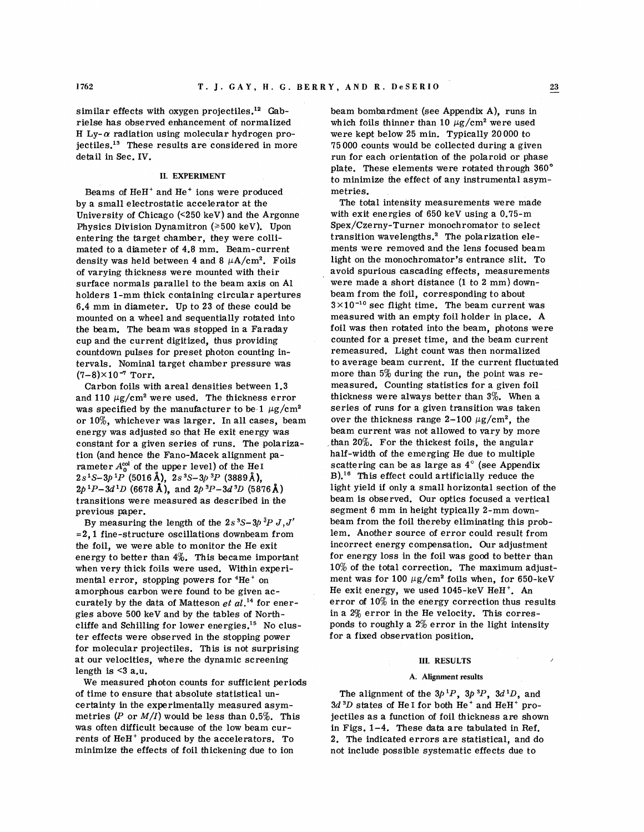similar effects with oxygen projectiles.<sup>12</sup> Gabrielse has observed enhancement of normalized H Ly- $\alpha$  radiation using molecular hydrogen projectiles. $^{13}$  These results are considered in more detail in Sec. IV.

## **IL EXPERIMENT**

Beams of HeH<sup>+</sup> and He<sup>+</sup> ions were produced by a small electrostatic accelerator at the University of Chicago (<250 keV) and the Argonne Physics Division Dynamitron ( $\geq 500$  keV). Upon entering the target chamber, they were collimated to a diameter of 4.8 mm. Beam-current density was held between 4 and 8  $\mu$ A/cm<sup>2</sup>. Foils of varying thickness were mounted with their surface normals parallel to the beam axis on A1 holders 1-mm thick containing circular apertures 6.4 mm in diameter. Up to 23 of these could be mounted on a wheel and sequentially rotated into the beam. The beam was stopped in a Faraday cup and the current digitized, thus providing countdown pulses for preset photon counting intervals. Nominal target chamber pressure was  $(7-8) \times 10^{-7}$  Torr.

Carbon foils with areal densities between 1.3 and 110  $\mu$ g/cm<sup>2</sup> were used. The thickness error was specified by the manufacturer to be 1  $\mu$ g/cm<sup>2</sup> or lo%, whichever was larger. In all cases, beam energy was adjusted so that He exit energy was constant for a given series of runs. The polarization (and hence the Fano-Macek alignment parameter  $A_0^{\text{col}}$  of the upper level) of the He<sub>I</sub>  $2s<sup>1</sup>S-3p<sup>1</sup>P$  (5016 Å),  $2s<sup>3</sup>S-3p<sup>3</sup>P$  (3889 Å),  $2p^{1}P-3d^{1}D$  (6678 Å), and  $2p^{3}P-3d^{3}D$  (5876 Å) transitions were measured as described in the previous paper.

By measuring the length of the  $2s^3S-3p^3P J,J'$  $=2.1$  fine-structure oscillations downbeam from the foil, we were able to monitor the He exit energy to better than  $4\%$ . This became important when very thick foils were used. Within experimental error, stopping powers for  ${}^{4}He^{+}$  on amorphous carbon were found to be given accurately by the data of Matteson  $e^{t}$  al.<sup>14</sup> for energies above 500 keV and by the tables of Northcliffe and Schilling for lower energies.<sup>15</sup> No cluster effects were observed in the stopping power for molecular projectiles. This is not surprising at our velocities, where the dynamic screening length is  $\leq 3$  a.u.

We measured photon counts for sufficient periods of time to ensure that absolute statistical uncertainty in the experimentally measured asymmetries  $(P \text{ or } M/I)$  would be less than 0.5%. This was often difficult because of the low beam currents of HeH' produced by the accelerators. To minimize the effects of foil thickening due to ion

beam bombardment (see Appendix A), runs in which foils thinner than 10  $\mu$ g/cm<sup>2</sup> were used were kept below 25 min. Typically 20000 to 75 000 counts would be collected during a given run for each orientation of the polaroid or phase plate. These elements were rotated through 360' to minimize the effect of any instrumental asymmetries.

The total intensity measurements were made with exit energies of 650 keV using a 0.75-m Spex/Czerny-Turner monochromator to select transition wavelengths.<sup>2</sup> The polarization elements were removed and the lens focused beam light on the monochromator's entrance slit. To avoid spurious cascading effects, measurements were made a short distance (1 to 2 mm) downbeam from the foil, corresponding to about  $3 \times 10^{-10}$  sec flight time. The beam current was measured with an empty foil holder in place. A foil was then rotated into the beam, photons were counted for a preset time, and the beam current remeasured. Light count was then normalized to average beam current. If the current fluctuated more than 5% during the run, the point was remeasured. Counting statistics for a given foil thickness were always better than 3%. When a series of runs for a given transition was taken over the thickness range 2-100  $\mu$ g/cm<sup>2</sup>, the beam current was not allowed to vary by more than 20%. For the thickest foils, the angular half-width of the emerging He due to multiple scattering can be as large as  $4^\circ$  (see Appendix  $B$ <sup>16</sup> This effect could artificially reduce the light yield if only a small horizontal section of the beam is observed. Our optics focused a vertical segment 6 mm in height typically 2-mm downbeam from the foil thereby eliminating this problem. Another source of error could result from incorrect energy compensation. Our adjustment for energy loss in the foil was good to better than 10% of the total correction. The maximum adjustment was for 100  $\mu$ g/cm<sup>2</sup> foils when, for 650-keV He exit energy, we used 1045-keV HeH'. An error of 10% in the energy correction thus results in a 2% error in the He velocity. This corresponds to roughly a  $2\%$  error in the light intensity for a fixed observation position.

#### **111. RESULTS**

## **A. Alignment results**

The alignment of the  $3p^{1}P$ ,  $3p^{3}P$ ,  $3d^{1}D$ , and  $3d<sup>3</sup>D$  states of He I for both He<sup>+</sup> and HeH<sup>+</sup> projectiles as a function of foil thickness are shown in Figs. 1-4. These data are tabulated in Ref. 2. The indicated errors are statistical, and do not include possible systematic effects due to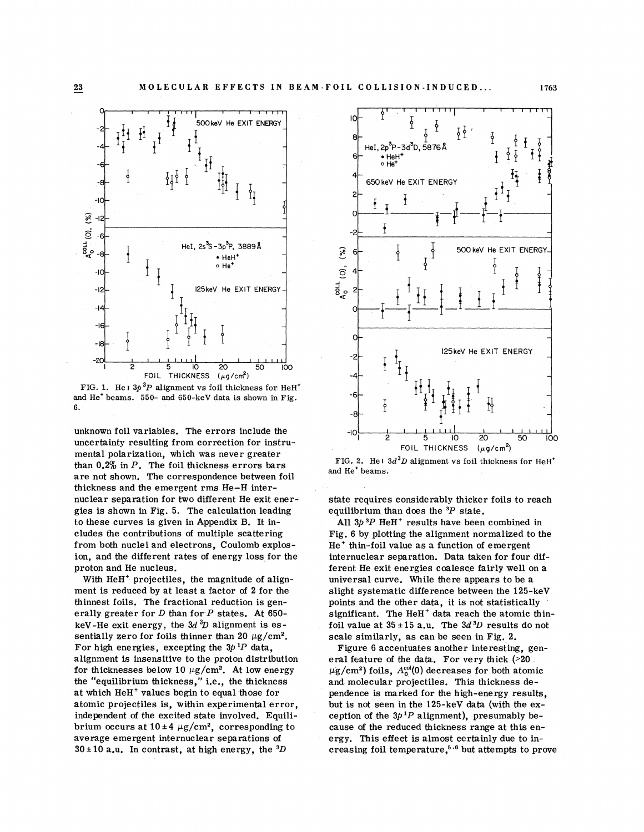

FIG. 1. He I  $3p^3P$  alignment vs foil thickness for HeH<sup>+</sup> and  $He<sup>+</sup> beams.$  550- and 650-keV data is shown in Fig. 6.

unknown foil variables. The errors include the uncertainty resulting from correction for instrumental polarization, which was never greater than 0.2% in *P.* The foil thickness errors bars are not shown. The correspondence between foil thickness and the emergent rms He-H internuclear separation for two different He exit energies is shown in Fig. 5. The calculation leading to these curves is given in Appendix B. It includes the contributions of multiple scattering from both nuclei and electrons, Coulomb explosion, and the different rates of energy loss for the proton and He nucleus.

With HeH' projectiles, the magnitude of alignment is reduced by at least a factor of 2 for the thinnest foils. The fractional reduction is generally greater for D than for *P* states. At 650 keV-He exit energy, the  $3d<sup>3</sup>D$  alignment is essentially zero for foils thinner than 20  $\mu$ g/cm<sup>2</sup>. For high energies, excepting the 3p *'P* data, alignment is insensitive to the proton distribution for thicknesses below 10  $\mu$ g/cm<sup>2</sup>. At low energy the "equilibrium thickness," i.e., the thickness at which HeH<sup>+</sup> values begin to equal those for atomic projectiles is, within experimental error, independent of the excited state involved. Equilibrium occurs at  $10 \pm 4 \ \mu g/cm^2$ , corresponding to average emergent internuclear separations of  $30 \pm 10$  a.u. In contrast, at high energy, the <sup>3</sup>D



FIG. 2. He<sub>1</sub>  $3d<sup>3</sup>D$  alignment vs foil thickness for HeH<sup>+</sup> and He<sup>+</sup> beams.

state requires considerably thicker foils to reach equilibrium than does the *3P* state.

All 3p *3P* HeH' results have been combined in Fig. 6 by plotting the alignment normalized to the  $He<sup>+</sup>$  thin-foil value as a function of emergent internuclear separation. Data taken for four different He exit energies coalesce fairly well on a universal curve. While there appears to be a slight systematic difference between the 125-keV points and the other data, it is not statistically significant. The HeH $^+$  data reach the atomic thinfoil value at  $35 \pm 15$  a.u. The  $3d<sup>3</sup>D$  results do not scale similarly, as can be seen in Fig. 2.

Figure 6 accentuates another interesting, general feature of the data. For very thick (>20  $\mu$ g/cm<sup>2</sup>) foils, A<sup>col</sup>(0) decreases for both atomic and molecular projectiles. This thickness dependence is marked for the high-energy results, but is not seen in the 125-keV data (with the exception of the  $3p^{1}P$  alignment), presumably because of the reduced thickness range at this energy. This effect is almost certainly due to increasing foil temperature,<sup>5,6</sup> but attempts to prove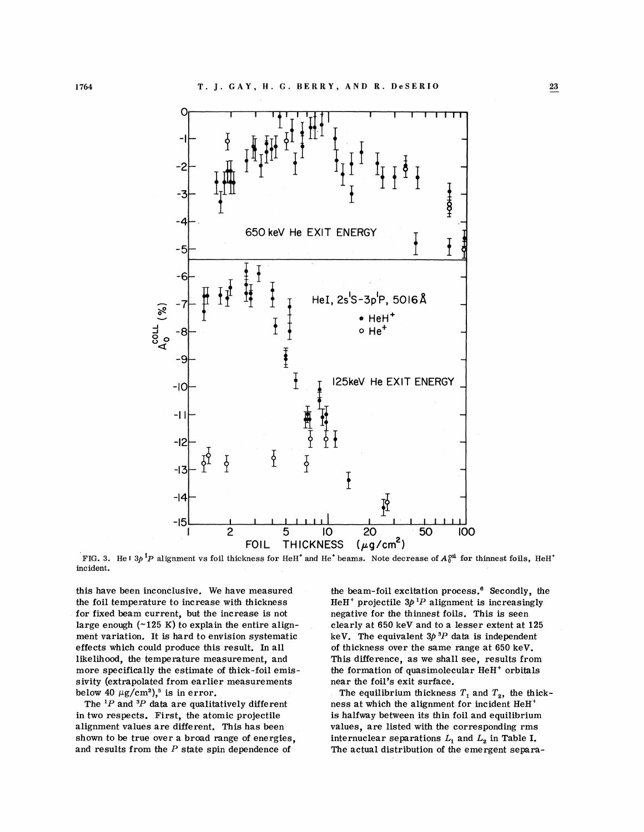

FIG. 3. He I  $3p$  <sup>1</sup>P alignment vs foil thickness for HeH<sup>+</sup> and He<sup>+</sup> beams. Note decrease of  $A_0^{cd}$  for thinnest foils, incident.

this have been inconclusive. We have measured the foil temperature to increase with thickness for fixed beam current, but the increase is not large enough  $(\sim 125 \text{ K})$  to explain the entire alignment variation. It is hard to envision systematic effects which could produce this result. In all likelihood, the temperature measurement, and more specifically the estimate of thick-foil emissivity (extrapolated from earlier measurements below 40  $\mu$ g/cm<sup>2</sup>),<sup>5</sup> is in error.

The *'P* and *3P* data are qualitatively different in two respects. First, the atomic projectile alignment values are different. This has been shown to be true over a broad range of energies, and results from the *P* state spin dependence of

the beam-foil excitation process.<sup>6</sup> Secondly, the HeH<sup>+</sup> projectile  $3p^{1}P$  alignment is increasingly negative for the thinnest foils. This is seen clearly at 650 keV and to a lesser extent at 125 keV. The equivalent  $3p^3P$  data is independent of thickness over the same range at 650 keV. This difference, as we shall see, results from the formation of quasimolecular HeH' orbitals near the foil's exit surface.

The equilibrium thickness  $T_1$  and  $T_2$ , the thickness at which the alignment for incident HeH' is halfway between its thin foil and equilibrium values, are listed with the corresponding rms internuclear separations  $L_1$  and  $L_2$  in Table I. The actual distribution of the emergent separa-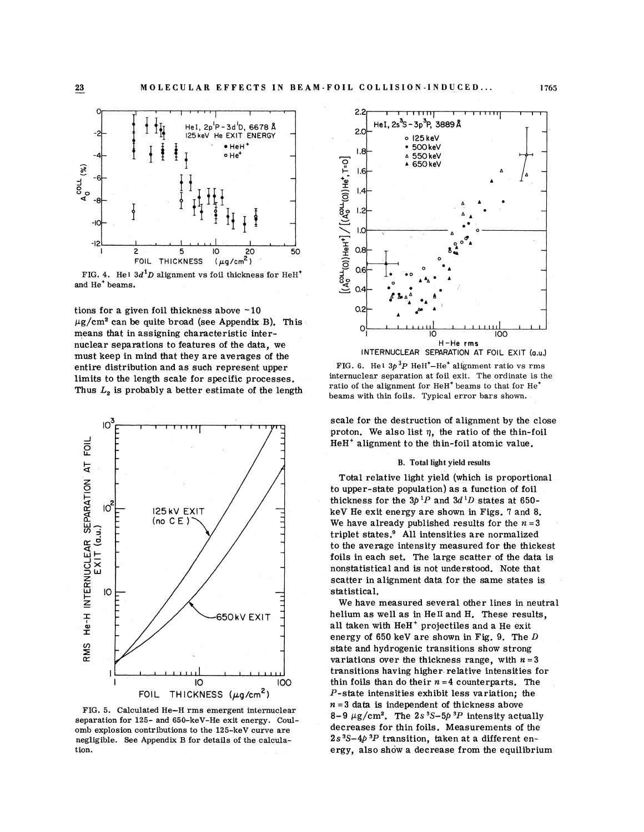

FIG. 4. He<sup>1</sup>  $3d<sup>1</sup>D$  alignment vs foil thickness for HeH<sup>\*</sup> and He<sup>+</sup> beams.

tions for a given foil thickness above *-10*   $\mu$ g/cm<sup>2</sup> can be quite broad (see Appendix B). This means that in assigning characteristic internuclear separations to features of the data, we must keep in mind that they are averages of the entire distribution and as such represent upper limits to the length scale for specific processes. Thus  $L<sub>2</sub>$  is probably a better estimate of the length



**FIG.** 5. Calculated He-H rms emergent internuclear separation for 125- and 650-keV-He exit energy. Coulomb explosion contributions to the 125-keV curve are negligible. See Appendix B for details of the calculation.



FIG. 6. He<sup>1</sup>  $3p^3P$  HeH<sup>+</sup>-He<sup>+</sup> alignment ratio vs rms internuclear separation at foil exit. The ordinate is the ratio of the alignment for  $HeH<sup>+</sup>$  beams to that for  $He<sup>+</sup>$ beams with thin foils. Typical error bars shown.

scale for the destruction of alignment by the close proton. We also list  $\eta$ , the ratio of the thin-foil HeH' alignment to the thin-foil atomic value.

## **B. Total light yield results**

Total relative light yield (which is proportional to upper-state population) as a function of foil thickness for the  $3p$ <sup>1</sup>P and  $3d$ <sup>1</sup>D states at 650keV He exit energy are shown in Figs. 7 and 8. We have already published results for the  $n = 3$ triplet states.' All intensities are normalized to the average intensity measured for the thickest foils in each set. The large scatter of the data is nonstatistical and is not understood. Note that scatter in alignment data for the same states is statistical.

We have measured several other lines in neutral helium as well as in He<sub>II</sub> and H. These results. all taken with HeH<sup>+</sup> projectiles and a He exit energy of *650* keV are shown in *Fig.* 9, The D state and hydrogenic transitions show strong variations over the thickness range, with  $n = 3$ transitions having higher relative intensities for thin foils than do their  $n = 4$  counterparts. The P-state intensities exhibit less variation; the  $n = 3$  data is independent of thickness above  $8-9 \mu g/cm^2$ . The  $2s^3S-5p^3P$  intensity actually decreases for thin foils. Measurements of the 2s **3S-4p** 3P transition, taken at a different energy, also show a decrease from the equilibrium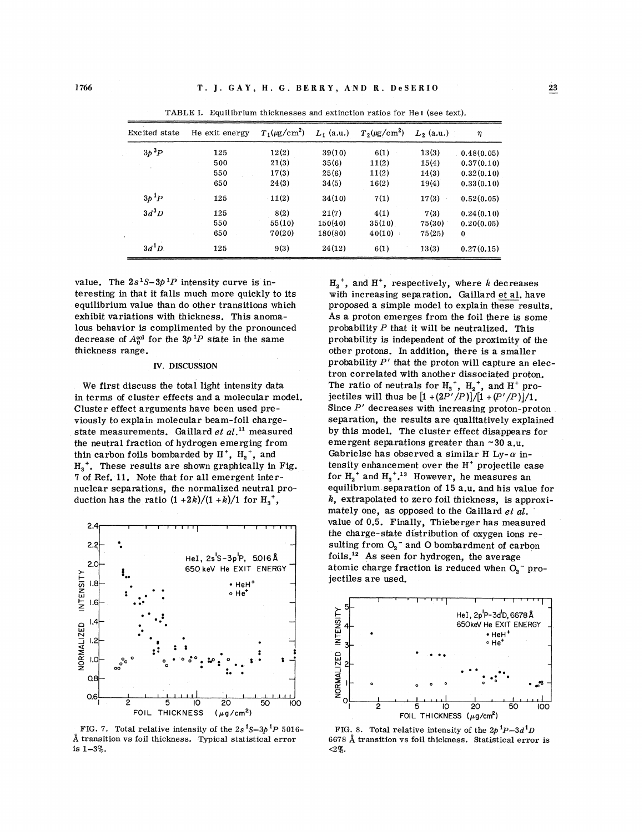| Excited state         | He exit energy | $T_1(\mu\text{g/cm}^2)$ | $L_1$ (a.u.) | $T_2(\mu\text{g/cm}^2)$ | $L_2$ (a.u.) | η          |
|-----------------------|----------------|-------------------------|--------------|-------------------------|--------------|------------|
| $3p$ <sup>3</sup> $P$ | 125            | 12(2)                   | 39(10)       | 6(1)                    | 13(3)        | 0.48(0.05) |
|                       | 500            | 21(3)                   | 35(6)        | 11(2)                   | 15(4)        | 0.37(0.10) |
|                       | 550            | 17(3)                   | 25(6)        | 11(2)                   | 14(3)        | 0.32(0.10) |
|                       | 650            | 24(3)                   | 34(5)        | 16(2)                   | 19(4)        | 0.33(0.10) |
| $3p~^1P$              | 125            | 11(2)                   | 34(10)       | 7(1)                    | 17(3)        | 0.52(0.05) |
| $3d^3D$               | 125            | 8(2)                    | 21(7)        | 4(1)                    | 7(3)         | 0.24(0.10) |
|                       | 550            | 55(10)                  | 150(40)      | 35(10)                  | 75(30)       | 0.20(0.05) |
|                       | 650            | 70(20)                  | 180(80)      | 40(10)                  | 75(25)       | 0          |
| $3d^1D$               | 125            | 9(3)                    | 24(12)       | 6(1)                    | 13(3)        | 0.27(0.15) |

TABLE I. Equilibrium thicknesses and extinction ratios for He **1** (see text).

value. The  $2s<sup>1</sup>S-3p<sup>1</sup>P$  intensity curve is interesting in that it falls much more quickly to its equilibrium value than do other transitions which exhibit variations with thickness. This anomalous behavior is complimented by the pronounced decrease of  $A_0^{col}$  for the  $3p^1P$  state in the same thickness range.

#### **IV. DISCUSSION**

We first discuss the total light intensity data in terms of cluster effects and a molecular model. Cluster effect arguments have been used previously to explain molecular beam-foil chargestate measurements. Gaillard *et al."* measured the neutral fraction of hydrogen emerging from thin carbon foils bombarded by  $H^+$ ,  $H_2^+$ , and  $H_3^+$ . These results are shown graphically in Fig. **7** of Ref. *11.* Note that for all emergent internuclear separations, the normalized neutral production has the ratio  $(1 + 2k)/(1 + k)/1$  for  $H_3^*$ ,



FIG. 7. Total relative intensity of the  $2s<sup>1</sup>S-3p<sup>1</sup>P$  5016-**A** transition vs foil thickness. Typical statistical error is 1-3%.

 $H_2^*$ , and  $H^*$ , respectively, where k decreases<br>with increasing separation. Gaillard *et al.* have proposed a simple model to explain these results. As a proton emerges from the foil there is some probability *P* that it will be neutralized. This probability is independent of the proximity of the other protons. In addition, there is a smaller probability *P'* that the proton will capture an electron correlated with another dissociated proton. The ratio of neutrals for  $H_3^+$ ,  $H_5^+$ , and  $H^+$  projectiles will thus be *[I +(2P1/P)]/[1 +(P'/P)]/l.*  Since *P'* decreases with increasing proton-proton separation, the results are qualitatively explained by this model. The cluster effect disappears for emergent separations greater than *-30* a.u. Gabrielse has observed a similar H Ly- $\alpha$  intensity enhancement over the  $H<sup>+</sup>$  projectile case for  $H_2^+$  and  $H_3^+$ .<sup>13</sup> However, he measures an equilibrium separation of *15* a.u. and his value for  $k$ , extrapolated to zero foil thickness, is approximately one, as opposed to the Gaillard *et* al. value of 0.5. Finally, Thieberger has measured the charge-state distribution of oxygen ions resulting from  $O_2$ <sup>-</sup> and O bombardment of carbon foils.12 AS seen for hydrogen, the average atomic charge fraction is reduced when  $O<sub>2</sub>$  projectiles are used.



FIG. 8. Total relative intensity of the  $2p^{1}P-3d^{1}D$ 6678 **A** transition vs foil thickness. Statistical error is **<2%.**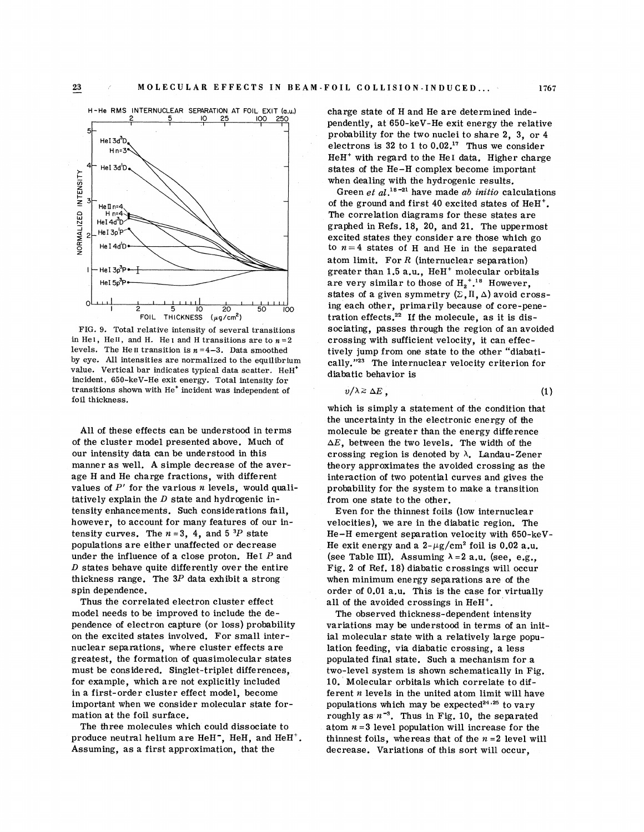

FIG. 9. Total relative intensity of several transitions in Hel, Hell, and H. Hel and H transitions are to  $n = 2$ levels. The He<sub>II</sub> transition is  $n = 4-3$ . Data smoothed by eye. All intensities are normalized to the equilibrium value. Vertical bar indicates typical data scatter. HeH\* incident, 650-keV-He exit energy. Total intensity for transitions shown with He' incident was independent of foil thickness.

All of these effects can be understood in terms of the cluster model presented above. Much of our intensity data can be understood in this manner as well. **A** simple decrease of the average H and He charge fractions, with different values of  $P'$  for the various n levels, would qualitatively explain the  $D$  state and hydrogenic intensity enhancements. Such considerations fail, however, to account for many features of our intensity curves. The  $n = 3$ , 4, and  $5^{3}P$  state populations are either unaffected or decrease under the influence of a close proton. Hel $P$  and  $D$  states behave quite differently over the entire thickness range. The  $3P$  data exhibit a strong spin dependence.

Thus the correlated electron cluster effect model needs to be improved to include the dependence of electron capture (or loss) probability on the excited states involved. For small internuclear separations, where cluster effects are greatest, the formation of quasimolecular states must be considered. Singlet-triplet differences, for example, which are not explicitly included in a first-order cluster effect model, become important when we consider molecular state formation at the foil surface.

The three molecules which could dissociate to produce neutral helium are HeH-, HeH, and HeH'. Assuming, as a first approximation, that the

charge state of H and He are determined independently, at 650-keV-He exit energy the relative probability for the two nuclei to share 2, 3, or 4 electrons is 32 to 1 to  $0.02^{17}$  Thus we consider HeH' with regard to the He1 data. Higher charge states of the He-H complex become important when dealing with the hydrogenic results.

Green *et al.*<sup>18-21</sup> have made *ab initio* calculations of the ground and first 40 excited states of  $HeH<sup>+</sup>$ . The correlation diagrams for these states are graphed in Refs. 18, 20, and **21.** The uppermost excited states they consider are those which go to  $n = 4$  states of H and He in the separated atom limit. For  $R$  (internuclear separation) greater than 1.5 a.u., HeH<sup>+</sup> molecular orbitals are very similar to those of  $H_2^{\,+18}$  However, states of a given symmetry  $(\Sigma, \Pi, \Delta)$  avoid crossing each other, primarily because of core-penetration effects. $22$  If the molecule, as it is dissociating, passes through the region of an avoided crossing with sufficient velocity, it can effectively jump from one state to the other "diabati cally."<sup>23</sup> The internuclear velocity criterion for diabatic behavior is

$$
v/\lambda \geq \Delta E \tag{1}
$$

which is simply a statement of the condition that the uncertainty in the electronic energy of the molecule be greater than the energy difference  $\Delta E$ , between the two levels. The width of the crossing region is denoted by *h.* Landau-Zener theory approximates the avoided crossing as the interaction of two potential curves and gives the probability for the system to make a transition from one state to the other.

Even for the thinnest foils (low internuclear velocities), we are in the diabatic region. The He-H emergent separation velocity with 650-keV-He exit energy and a  $2-\mu g/cm^2$  foil is 0.02 a.u. (see Table III). Assuming  $\lambda = 2$  a.u. (see, e.g., Fig. 2 of Ref. 18) diabatic crossings will occur when minimum energy separations are of the order of 0.01 a.u. This is the case for virtually all of the avoided crossings in HeH<sup>+</sup>.

The observed thickness-dependent intensity variations may be understood in terms of an initial molecular state with a relatively large population feeding, via diabatic crossing, a less populated final state. Such a mechanism for a two-level system is shown schematically in Fig. 10. Molecular orbitals which correlate to different  $n$  levels in the united atom limit will have populations which may be expected<sup>24,25</sup> to vary roughly as  $n^{-3}$ . Thus in Fig. 10, the separated atom  $n = 3$  level population will increase for the thinnest foils, whereas that of the  $n = 2$  level will decrease. Variations of this sort will occur.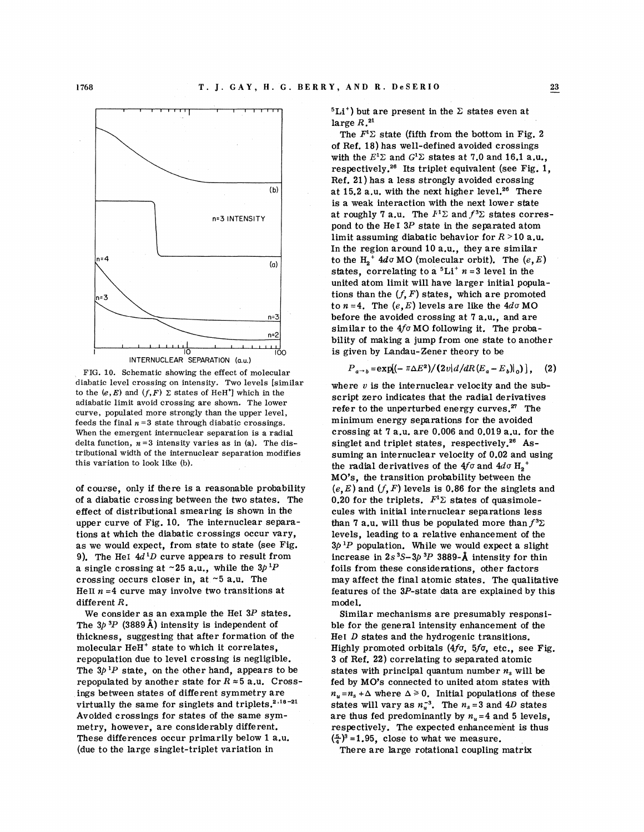

FIG. 10. Schematic showing the effect of molecular diabatic level crossing on intensity. Two levels [similar to the  $(e, E)$  and  $(f, F)$   $\Sigma$  states of HeH<sup>+</sup>] which in the adiabatic limit avoid crossing are shown. The lower curve, populated more strongly than the upper level, feeds the final  $n = 3$  state through diabatic crossings. When the emergent internuclear separation is a radial delta function,  $n=3$  intensity varies as in (a). The distributional width of the internuclear separation modifies this variation to look like (b).

of course, only if there is a reasonable probability of a diabatic crossing between the two states. The effect of distributional smearing is shown in the upper curve of Fig. 10. The internuclear separations at which the diabatic crossings occur vary, as we would expect, from state to state (see Fig. 9). The HeI  $4d<sup>1</sup>D$  curve appears to result from a single crossing at ~25 a.u., while the  $3p^{1}P$ crossing occurs closer in, at  $\sim$  5 a.u. The HeII  $n = 4$  curve may involve two transitions at different R.

We consider as an example the HeI  $3P$  states. The  $3p3P$  (3889 Å) intensity is independent of thickness, suggesting that after formation of the molecular HeH' state to which it correlates, repopulation due to level crossing is negligible. The  $3p^{1}P$  state, on the other hand, appears to be repopulated by another state for  $R \approx 5$  a.u. Crossings between states of different symmetry are virtually the same for singlets and triplets. $2.18-21$ Avoided crossings for states of the same symmetry, however, are considerably different. These differences occur primarily below 1 a.u. (due to the large singlet- triplet variation in

 $5Li<sup>+</sup>$ ) but are present in the  $\Sigma$  states even at large  $R^{21}$ .

The  $F^1\Sigma$  state (fifth from the bottom in Fig. 2 of Ref. 18) has well-defined avoided crossings with the  $E^1\Sigma$  and  $G^1\Sigma$  states at 7.0 and 16.1 a.u., respectively.<sup>26</sup> Its triplet equivalent (see Fig. 1, Ref. 21) has a less strongly avoided crossing at  $15.2$  a.u. with the next higher level.<sup>26</sup> There is a weak interaction with the next lower state at roughly 7 a.u. The  $F^1\Sigma$  and  $f^3\Sigma$  states correspond to the He I *3P* state in the separated atom limit assuming diabatic behavior for  $R > 10$  a.u. In the region around 10 a.u., they are similar to the  $H_2^+$  4do MO (molecular orbit). The  $(e, E)$ states, correlating to a  ${}^{5}Li^{+}$  n = 3 level in the united atom limit will have larger initial populations than the  $(f, F)$  states, which are promoted to  $n = 4$ . The  $(e, E)$  levels are like the  $4d\sigma$  MO before the avoided crossing at 7 a.u., and are similar to the  $4f\sigma$  MO following it. The probability of making a jump from one state to another is given by Landau-Zener theory to be

$$
P_{a\rightarrow b} = \exp[(-\pi \Delta E^2)/(2v)d/dR(E_a - E_b)|_0], \quad (2)
$$

where  $v$  is the internuclear velocity and the subscript zero indicates that the radial derivatives refer to the unperturbed energy curves. $27$  The minimum energy separations for the avoided crossing at 7 a.u. are 0.006 and 0.019 a.u. for the singlet and triplet states, respectively.<sup>26</sup> Assuming an internuclear velocity of 0.02 and using the radial derivatives of the  $4f\sigma$  and  $4d\sigma$  H<sub>2</sub><sup>+</sup> MO's, the transition probability between the  $(e, E)$  and  $(f, F)$  levels is 0.86 for the singlets and 0.20 for the triplets.  $F^1\Sigma$  states of quasimolecules with initial inte rnuclear separations less than 7 a.u. will thus be populated more than  $f^3\Sigma$ levels, leading to a relative enhancement of the  $3p^{1}P$  population. While we would expect a slight increase in  $2s^3S-3p^3P$  3889- $\AA$  intensity for thin foils from these considerations, other factors may affect the final atomic states. The qualitative features of the 3P-state data are explained by this model.

Similar mechanisms are presumably responsible for the general intensity enhancement of the He1 D states and the hydrogenic transitions. Highly promoted orbitals **(4fu,** 5f0, etc., see Fig. 3 of Ref. 22) correlating to separated atomic states with principal quantum number  $n_s$  will be fed by MO's connected to united atom states with  $n_u = n_s + \Delta$  where  $\Delta \ge 0$ . Initial populations of these states will vary as  $n_u^{-3}$ . The  $n_s = 3$  and 4D states are thus fed predominantly by  $n<sub>u</sub> = 4$  and 5 levels, respectively. The expected enhancement is thus  $\left(\frac{5}{4}\right)^3 = 1.95$ , close to what we measure.

There are large rotational coupling matrix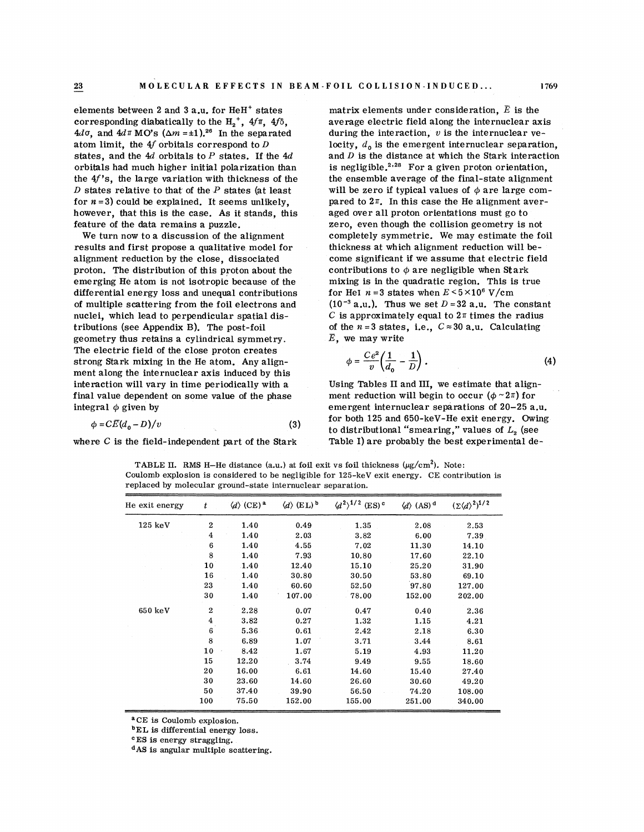elements between 2 and 3 a.u. for  $HeH^+$  states corresponding diabatically to the  $H_2^+$ ,  $4f\pi$ ,  $4f\delta$ ,  $4d\sigma$ , and  $4d\pi$  MO's  $(\Delta m = \pm 1).^{26}$  In the separated atom limit, the  $4f$  orbitals correspond to  $D$ states, and the  $4d$  orbitals to P states. If the  $4d$ orbitals had much higher initial polarization than the  $4f$ 's, the large variation with thickness of the **D** states relative to that of the *P* states (at least for  $n=3$ ) could be explained. It seems unlikely, pared to  $2\pi$ . In this case the He alignment averhowever, that this is the case. As it stands, this aged over all proton orientations must go to

results and first propose a qualitative model for thickness at which alignment reduction will bealignment reduction by the close, dissociated come significant if we assume that electric field proton. The distribution of this proton about the contributions to  $\phi$  are negligible when Stark emerging He atom is not isotropic because of the mixing is in the quadratic region. This is true differential energy loss and unequal contributions for HeI  $n = 3$  states when  $E \le 5 \times 10^6$  V/cm differential energy loss and unequal contributions nuclei, which lead to perpendicular spatial dis-  $C$  is approximately equal to  $2\pi$  times the radius tributions (see Appendix B). The post-foil of the  $n = 3$  states, i.e.,  $C \approx 30$  a.u. Calculating geometry thus retains a cylindrical symmetry.  $E$ , we may write The electric field of the close proton creates<br>strong Stark mixing in the He atom. Any alignment along the internuclear axis induced by this interaction will vary in time periodically with a Using Tables II and III, we estimate that alignfinal value dependent on some value of the phase ment reduction will begin to occur ( $\phi \sim 2\pi$ ) for

$$
\phi = CE(d_0 - D)/v \tag{3}
$$

matrix elements under consideration,  $\bar{E}$  is the average electric field along the internuclear axis during the interaction,  $v$  is the internuclear velocity,  $d_0$  is the emergent internuclear separation, and  $D$  is the distance at which the Stark interaction is negligible. $2.28$  For a given proton orientation, the ensemble average of the final-state alignment will be zero if typical values of  $\phi$  are large comfeature of the data remains a puzzle.<br>We turn now to a discussion of the alignment completely symmetric. We may estimate the formulation with the symmetric. completely symmetric. We may estimate the foil of multiple scattering from the foil electrons and  $(10^{-3} a.u.).$  Thus we set  $D = 32 a.u.$  The constant

$$
\phi = \frac{Ce^2}{v} \left( \frac{1}{d_0} - \frac{1}{D} \right). \tag{4}
$$

integral  $\phi$  given by emergent internuclear separations of 20-25 a.u. for both 125 and 650-keV-He exit energy. Owing to distributional "smearing," values of L<sub>2</sub> (see where C is the field-independent part of the Stark Table I) are probably the best experimental de-

**TABLE II.** RMS H-He distance (a.u.) at foil exit vs foil thickness  $(\mu g/cm^2)$ . Note: Coulomb explosion is considered to be negligible for 125-keV exit energy. CE contribution is replaced by molecular ground-state internuclear separation.

| He exit energy | t                | $\langle d \rangle$ (CE) <sup>a</sup> | $\langle d \rangle$ (EL) <sup>b</sup> | $\langle d^2 \rangle^{1/2}$ (ES) <sup>c</sup> | $\langle d \rangle$ (AS) <sup>d</sup> | $(\Sigma \langle d \rangle^2)^{1/2}$ |
|----------------|------------------|---------------------------------------|---------------------------------------|-----------------------------------------------|---------------------------------------|--------------------------------------|
| 125~keV        | $\boldsymbol{2}$ | 1.40                                  | 0.49                                  | 1.35                                          | 2.08                                  | 2.53                                 |
|                | $\boldsymbol{4}$ | 1.40                                  | 2.03                                  | 3.82                                          | 6.00                                  | 7.39                                 |
|                | 6                | 1.40                                  | 4.55                                  | 7.02                                          | 11.30                                 | 14.10                                |
|                | 8                | 1.40                                  | 7.93                                  | 10.80                                         | 17.60                                 | 22.10                                |
|                | 10               | 1.40                                  | 12.40                                 | 15.10                                         | 25.20                                 | 31.90                                |
|                | 16               | 1.40                                  | 30.80                                 | 30.50                                         | 53.80                                 | 69.10                                |
|                | 23               | 1.40                                  | 60.60                                 | 52.50                                         | 97.80                                 | 127.00                               |
|                | 30               | 1.40                                  | 107.00                                | 78.00                                         | 152.00                                | 202.00                               |
| 650 keV        | $\boldsymbol{2}$ | 2.28                                  | 0.07                                  | 0.47                                          | 0.40                                  | 2.36                                 |
|                | $\boldsymbol{4}$ | 3.82                                  | 0.27                                  | 1.32                                          | 1.15                                  | 4.21                                 |
|                | $\bf 6$          | 5.36                                  | 0.61                                  | 2.42                                          | 2.18                                  | 6.30                                 |
|                | 8                | 6.89                                  | 1.07                                  | 3.71                                          | 3.44                                  | 8.61                                 |
|                | 10               | 8.42                                  | 1.67                                  | 5.19                                          | 4.93                                  | 11.20                                |
|                | 15               | 12.20                                 | 3.74                                  | 9.49                                          | 9.55                                  | 18.60                                |
|                | 20               | 16.00                                 | 6.61                                  | 14.60                                         | 15.40                                 | 27.40                                |
|                | 30               | 23.60                                 | 14.60                                 | 26.60                                         | 30.60                                 | 49.20                                |
|                | 50               | 37.40                                 | 39.90                                 | 56.50                                         | 74.20                                 | 108.00                               |
|                | 100              | 75.50                                 | 152.00                                | 155.00                                        | 251.00                                | 340.00                               |

aCE is Coulomb explosion.

**bEL** is differential energy loss.

<sup>c</sup>ES is energy straggling.

**dAS** is angular multiple scattering.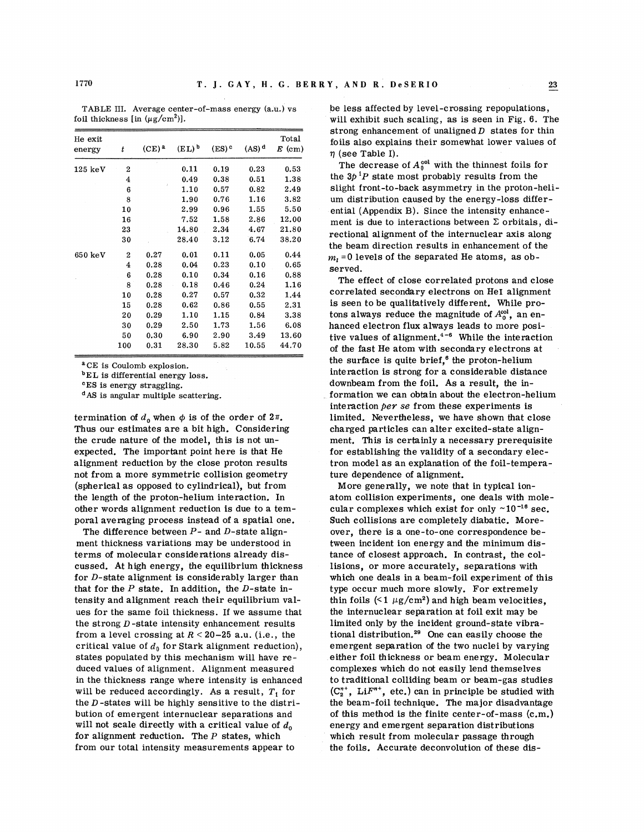| He exit<br>energy | t                       | $(CE)^a$ | $(EL)$ <sup>b</sup> | $(ES)$ <sup>c</sup> | $(AS)$ <sup>d</sup> | Total<br>$E$ (cm) |
|-------------------|-------------------------|----------|---------------------|---------------------|---------------------|-------------------|
| $125~{\rm keV}$   | $\overline{2}$          |          | 0.11                | 0.19                | 0.23                | 0.53              |
|                   | 4                       |          | 0.49                | 0.38                | 0.51                | 1.38              |
|                   | 6                       |          | 1.10                | 0.57                | 0.82                | 2.49              |
|                   | 8                       |          | 1.90                | 0.76                | 1.16                | 3.82              |
|                   | 10                      |          | 2.99                | 0.96                | 1.55                | 5.50              |
|                   | 16                      |          | 7.52                | 1.58                | 2.86                | 12.00             |
|                   | 23                      |          | 14.80               | 2.34                | 4.67                | 21.80             |
|                   | 30                      |          | 28.40               | 3.12                | 6.74                | 38.20             |
| $650~{\rm keV}$   | $\overline{2}$          | 0.27     | 0.01                | 0.11                | 0.05                | 0.44              |
|                   | $\overline{\mathbf{4}}$ | 0.28     | 0.04                | 0.23                | 0.10                | 0.65              |
|                   | 6                       | 0.28     | 0.10                | 0.34                | 0.16                | 0.88              |
|                   | 8                       | 0.28     | 0.18                | 0.46                | 0.24                | 1.16              |
|                   | 10                      | 0.28     | 0.27                | 0.57                | 0.32                | 1.44              |
|                   | 15                      | 0.28     | 0.62                | 0.86                | 0.55                | 2.31              |
|                   | 20                      | 0.29     | 1.10                | 1.15                | 0.84                | 3.38              |
|                   | 30                      | 0.29     | 2.50                | 1.73                | 1.56                | 6.08              |
|                   | 50                      | 0.30     | 6.90                | 2.90                | 3.49                | 13.60             |
|                   | 100                     | 0.31     | 28.30               | 5.82                | 10.55               | 44.70             |

TABLE III. Average center-of-mass energy (a.u.) vs foil thickness [in  $(\mu g/cm^2)$ ].

aCE is Coulomb explosion.

**bEL** is differential energy loss.

<sup>c</sup>ES is energy straggling.

**dAS** is angular multiple scattering.

termination of  $d_0$  when  $\phi$  is of the order of  $2\pi$ . Thus our estimates are a bit high. Considering the crude nature of the model, this is not unexpected. The important point here is that He alignment reduction by the close proton results not from a more symmetric collision geometry (spherical as opposed to cylindrical), but from the length of the proton-helium interaction. In other words alignment reduction is due to a temporal averaging process instead of a spatial one.

The difference between  $P$ - and  $D$ -state alignment thickness variations may be understood in terms of molecular considerations already discussed. At high energy, the equilibrium thickness for D-state alignment is considerably larger than that for the  $P$  state. In addition, the  $D$ -state intensity and alignment reach their equilibrium values for the same foil thickness. If we assume that the strong  $D$ -state intensity enhancement results from a level crossing at  $R < 20-25$  a.u. (i.e., the critical value of  $d_0$  for Stark alignment reduction), states populated by this mechanism will have reduced values of alignment. Alignment measured in the thickness range where intensity is enhanced will be reduced accordingly. As a result,  $T_1$  for the  $D$ -states will be highly sensitive to the distribution of emergent internuclear separations and will not scale directly with a critical value of  $d_0$ for alignment reduction. The  $P$  states, which from our total intensity measurements appear to

be less affected by level-crossing repopulations, will exhibit such scaling, as is seen in Fig. 6. The strong enhancement of unaligned  $D$  states for thin foils also explains their somewhat lower values of  $\eta$  (see Table I).

The decrease of  $A_0^{\text{col}}$  with the thinnest foils for the  $3p<sup>1</sup>P$  state most probably results from the slight front-to-back asymmetry in the proton-helium distribution caused by the energy-loss differential (Appendix B). Since the intensity enhancement is due to interactions between  $\Sigma$  orbitals, directional alignment of the internuclear axis along the beam direction results in enhancement of the  $m<sub>t</sub>$  = 0 levels of the separated He atoms, as observed.

The effect of close correlated protons and close correlated secondary electrons on He1 alignment is seen to be qualitatively different. While protons always reduce the magnitude of  $A_0^{\text{col}}$ , an enhanced electron flux always leads to more positive values of alignment.<sup>4-6</sup> While the interaction of the fast He atom with secondary electrons at the surface is quite brief, $^6$  the proton-helium interaction is strong for a considerable distance downbeam from the foil. As a result, the information we can obtain about the electron-helium interaction per *se* from these experiments is limited. Nevertheless, we have shown that close charged particles can alter excited-state alignment. This is certainly a necessary prerequisite for establishing the validity of a secondary electron model as an explanation of the foil-temperature dependence of alignment.

More generally, we note that in typical ionatom collision experiments, one deals with molecular complexes which exist for only **-10-l6** sec. Such collisions are completely diabatic. Moreover, there is a one-to-one correspondence between incident ion energy and the minimum distance of closest approach. In contrast, the collisions, or more accurately, separations with which one deals in a beam-foil experiment of this type occur much more slowly. For extremely thin foils  $(51 \mu g/cm^2)$  and high beam velocities, the internuclear separation at foil exit may be limited only by the incident ground-state vibrational distribution. $29$  One can easily choose the emergent separation of the two nuclei by varying either foil thickness or beam energy. Molecular complexes which do not easily lend themselves to traditional colliding beam or beam-gas studies  $(C_2^{n+}, LiF^{n+}, etc.)$  can in principle be studied with the beam-foil technique. The major disadvantage of this method is the finite center-of-mass (c.m.) energy and emergent separation distributions which result from molecular passage through the foils. Accurate deconvolution of these dis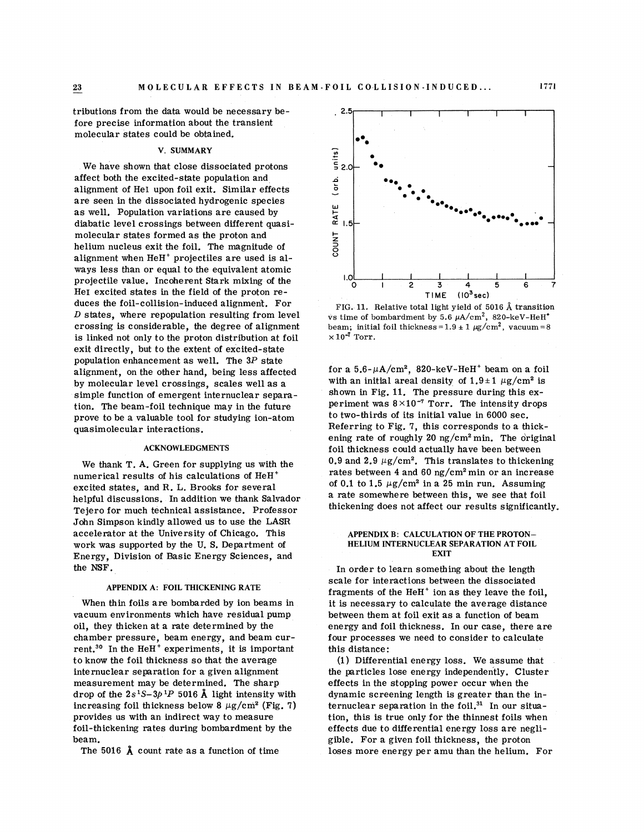**23** 

tributions from the data would be necessary before precise information about the transient molecular states could be obtained.

## **V. SUMMARY**

We have shown that close dissociated protons affect both the excited-state population and alignment of He1 upon foil exit. Similar effects are seen in the dissociated hydrogenic species as well. Population variations are caused by diabatic level crossings between different quasimolecular states formed as the proton and helium nucleus exit the foil. The magnitude of alignment when  $HeH<sup>+</sup>$  projectiles are used is always less than or equal to the equivalent atomic projectile value. Incoherent Stark mixing of the Her excited states in the field of the proton reduces the foil-collision-induced alignment. For  $D$  states, where repopulation resulting from level crossing is considerable, the degree of alignment is linked not only to the proton distribution at foil exit directly, but to the extent of excited-state population enhancement as well. The 3P state alignment, on the other hand, being less affected by molecular level crossings, scales well as a simple function of emergent internuclear separation. The beam-foil technique may in the future prove to be a valuable tool for studying ion-atom quasimolecular interactions.

#### **ACKNOWLEDGMENTS**

We thank T. A. Green for supplying us with the numerical results of his calculations of  $HeH<sup>+</sup>$ excited states, and R. L. Brooks for several helpful discussions. In addition we thank Salvador Tejero for much technical assistance. Professor John Simpson kindly allowed us to use the LASR accelerator at the University of Chicago. This work was supported by the U. S. Department of Energy, Division of Basic Energy Sciences, and the NSF.

### **APPENDIX A: FOIL THICKENING RATE**

When thin foils are bombarded by ion beams in vacuum environments which have residual pump oil, they thicken at a rate determined by the chamber pressure, beam energy, and beam current.<sup>30</sup> In the HeH<sup>+</sup> experiments, it is important to know the foil thickness so that the average internuclear separation for a given alignment measurement may be determined. The sharp drop of the  $2s<sup>1</sup>S-3p<sup>1</sup>P$  5016 Å light intensity with increasing foil thickness below 8  $\mu$ g/cm<sup>2</sup> (Fig. 7) provides us with an indirect way to measure foil-thickening rates during bombardment by the beam.

The 5016 **A** count rate as a function of time



FIG. 11. Relative total light yield of 5016 **A** transition vs time of bombardment by 5.6  $\mu$ A/cm<sup>2</sup>, 820-keV-HeH<sup>+</sup> beam; initial foil thickness =  $1.9 \pm 1 \text{ µg/cm}^2$ , vacuum = 8  $\times 10^{-7}$  Torr.

for a  $5.6-\mu A/cm^2$ , 820-keV-HeH<sup>+</sup> beam on a foil with an initial areal density of  $1.9 \pm 1 \ \mu g/cm^2$  is shown in Fig. 11. The pressure during this experiment was  $8 \times 10^{-7}$  Torr. The intensity drops to two-thirds of its initial value in 6000 sec. Referring to Fig. **7,** this corresponds to a thickening rate of roughly 20  $\frac{mg}{cm^2}$  min. The original foil thickness could actually have been between 0.9 and 2.9  $\mu$ g/cm<sup>2</sup>. This translates to thickening rates between 4 and 60 ng/cm<sup>2</sup> min or an increase of 0.1 to 1.5  $\mu$ g/cm<sup>2</sup> in a 25 min run. Assuming a rate somewhere between this, we see that foil thickening does not affect our results significantly.

#### **APPENDIX B: CALCULATION OF THE PROTON-HELIUM INTERNUCLEAR SEPARATION AT FOIL EXIT**

In order to learn something about the length scale for interactions between the dissociated fragments of the HeH $^+$  ion as they leave the foil, it is necessary to calculate the average distance between them at foil exit as a function of beam energy and foil thickness. In our case, there are four processes we need to consider to calculate this distance :

(1) Differential energy loss. We assume that the particles lose energy independently. Cluster effects in the stopping power occur when the dynamic screening length is greater than the internuclear separation in the foil.<sup>31</sup> In our situation, this is true only for the thinnest foils when effects due to differential energy loss are negligible. For a given foil thickness, the proton loses more energy per amu than the helium. For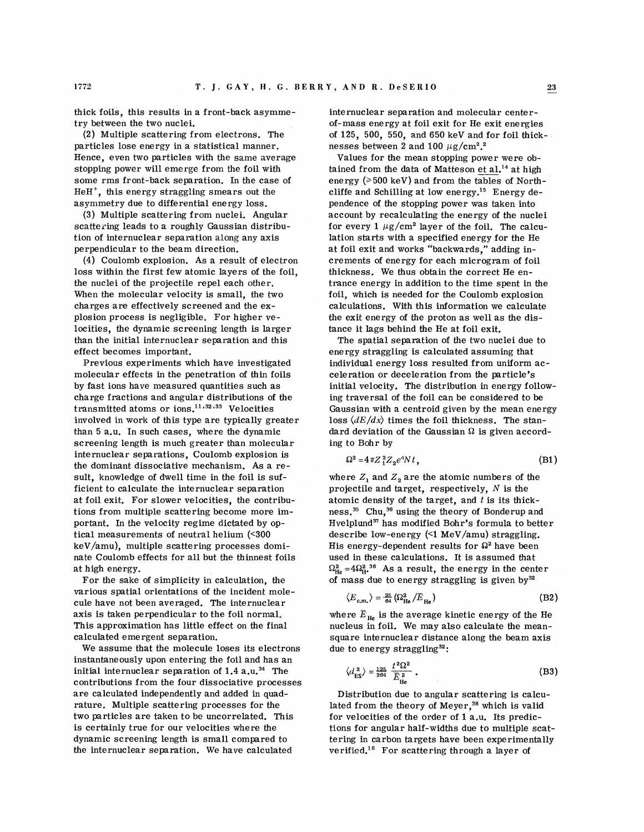thick foils, this results in a front-back asymmetry between the two nuclei.

(2) Multiple scattering from electrons. The particles lose energy in a statistical manner. Hence, even two particles with the same average stopping power will emerge from the foil with some rms front-back separation. In the case of HeH', this energy straggling smears out the asymmetry due to differential energy loss.

**(3)** Multiple scattering from nuclei. Angular scattering leads to a roughly Gaussian distribution of internuclear separation along any axis perpendicular to the beam direction.

(4) Coulomb explosion. As a result of electron loss within the first few atomic layers of the foil, the nuclei of the projectile repel each other. When the molecular velocity is small, the two charges are effectively screened and the explosion process is negligible. For higher velocities, the dynamic screening length is larger than the initial internuclear separation and this effect becomes important.

Previous experiments which have investigated molecular effects in the penetration of thin foils by fast ions have measured quantities such as charge fractions and angular distributions of the transmitted atoms or  $\text{ions.}^{11,32,33}$  Velocities involved in work of this type are typically greater than 5 a.u. In such cases, where the dynamic screening length is much greater than molecular internuclear separations, Coulomb explosion is the dominant dissociative mechanism. As a result, knowledge of dwell time in the foil is sufficient to calculate the internuclear separation at foil exit. For slower velocities, the contributions from multiple scattering become more important. In the velocity regime dictated by optical measurements of neutral helium (<300 keV/amu), multiple scattering processes dominate Coulomb effects for all but the thinnest foils at high energy.

For the sake of simplicity in calculation, the various spatial orientations of the incident molecule have not been averaged. The internuclear axis is taken perpendicular to the foil normal, This approximation has little effect on the final calculated emergent separation.

We assume that the molecule loses its electrons instantaneously upon entering the foil and has an initial internuclear separation of  $1.4 a.u.^{34}$  The contributions from the four dissociative processes are calculated independently and added in quadrature. Multiple scattering processes for the two particles are taken to be uncorrelated. This is certainly true for our velocities where the dynamic screening length is small compared to the internuclear separation. We have calculated

internuclear separation and molecular centerof-mass energy at foil exit for He exit energies of 125, 500, 550, and 650 keV and for foil thicknesses between 2 and 100  $\mu$ g/cm<sup>2</sup>.<sup>2</sup>

Values for the mean stopping power were obtained from the data of Matteson et  $aI^{14}$  at high energy ( $\geq 500$  keV) and from the tables of Northcliffe and Schilling at low energy.15 Energy dependence of the stopping power was taken into account by recalculating the energy of the nuclei for every 1  $\mu$ g/cm<sup>2</sup> layer of the foil. The calculation starts with a specified energy for the He at foil exit and works "backwards," adding increments of energy for each microgram of foil thickness. We thus obtain the correct He entrance energy in addition to the time spent in the foil, which is needed for the Coulomb explosion calculations. With this information we calculate the exit energy of the proton as well as the distance it lags behind the He at foil exit.

The spatial separation of the two nuclei due to energy straggling is calculated assuming that individual energy loss resulted from uniform acceleration or deceleration from the particle's initial velocity. The distribution in energy following traversal of the foil can be considered to be Gaussian with a centroid given by the mean energy loss  $\langle dE/dx \rangle$  times the foil thickness. The standard deviation of the Gaussian **D** is given according to Bohr by

$$
\Omega^2 = 4\pi Z_1^2 Z_2 e^4 N t \tag{B1}
$$

where  $Z_1$  and  $Z_2$  are the atomic numbers of the projectile and target, respectively,  $N$  is the atomic density of the target, and *t* is its thick $ness.^{35}$  Chu,<sup>36</sup> using the theory of Bonderup and Hvelplund<sup>37</sup> has modified Bohr's formula to better describe low-energy (<1 MeV/amu) straggling. His energy-dependent results for  $\Omega^2$  have been used in these calculations. It is assumed that  $\Omega_{\rm He}^2$  =4 $\Omega_{\rm He}^2$ <sup>36</sup> As a result, the energy in the center of mass due to energy straggling is given by $32$ 

$$
\langle E_{\rm c.m.} \rangle = \frac{25}{64} \left( \Omega_{\rm He}^2 / \overline{E}_{\rm He} \right) \tag{B2}
$$

where  $\overline{E}_{\text{He}}$  is the average kinetic energy of the He nucleus in foil. We may also calculate the meansquare internuclear distance along the beam axis due to energy straggling<sup>32</sup>:

$$
\langle d_{\text{ES}}^2 \rangle = \frac{125}{264} \frac{t^2 \Omega^2}{\overline{E}_{\text{He}}^2} \,. \tag{B3}
$$

Distribution due to angular scattering is calculated from the theory of Meyer, $^{38}$  which is valid for velocities of the order of 1 a.u. Its predictions for angular half-widths due to multiple scattering in carbon targets have been experimentally verified.16 For scattering through a layer of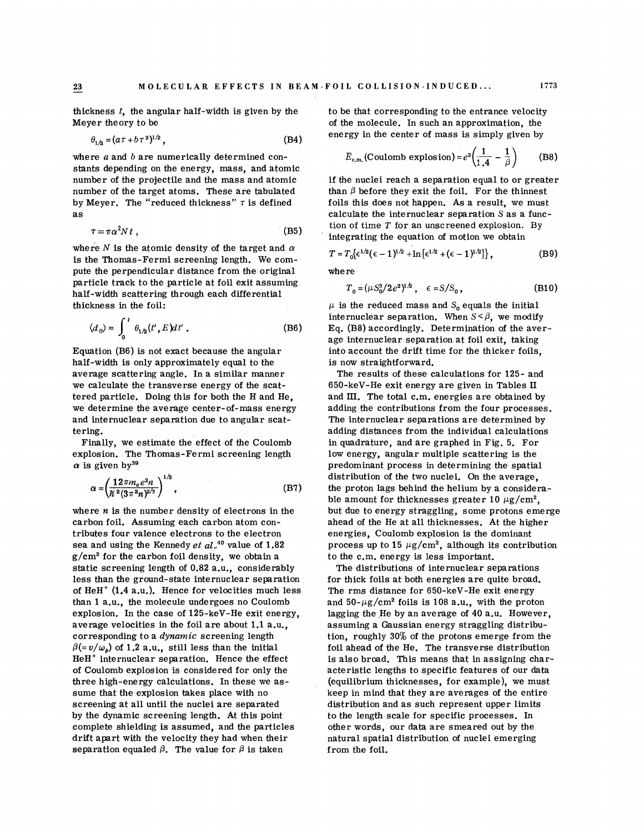thickness  $t$ , the angular half-width is given by the Meyer theory to be

$$
\theta_{1/2} = (a\tau + b\tau^2)^{1/2},\tag{B4}
$$

where  $a$  and  $b$  are numerically determined constants depending on the energy, mass, and atomic number of the projectile and the mass and atomic number of the target atoms. These are tabulated by Meyer. The "reduced thickness"  $\tau$  is defined as

$$
\tau = \pi \alpha^2 N t \tag{B5}
$$

where  $N$  is the atomic density of the target and  $\alpha$ is the Thomas-Fermi screening length. We compute the perpendicular distance from the original particle track to the particle at foil exit assuming half-width scattering through each differential thickness in the foil:

$$
\langle d_{\theta} \rangle \approx \int_0^t \theta_{1/2}(t', E) dt' . \tag{B6}
$$

Equation (B6) is not exact because the angular half-width is only approximately equal to the average scattering angle. In a similar manner we calculate the transverse energy of the scattered particle. Doing this for both the H and He, we determine the average center-of-mass energy and internuclear separation due to angular scattering.

Finally, we estimate the effect of the Coulomb explosion. The Thomas-Fermi screening length  $\alpha$  is given by<sup>39</sup>

$$
\alpha = \left(\frac{12\pi m_e e^2 n}{\hbar^2 (3\pi^2 n)^{2/3}}\right)^{1/2},\tag{B7}
$$

where **n** is the number density of electrons in the carbon foil. Assuming each carbon atom contributes four valence electrons to the electron sea and using the Kennedy et al.<sup>40</sup> value of 1.82  $g/cm<sup>2</sup>$  for the carbon foil density, we obtain a static screening length of 0.82 a.u., considerably less than the ground-state internuclear separation of HeH<sup>+</sup> (1.4 a.u.). Hence for velocities much less than 1 a.u., the molecule undergoes no Coulomb explosion. In the case of 125-keV-He exit energy, average velocities in the foil are about 1.1 a.u., corresponding to a dynamic screening length  $\beta (=v/\omega_p)$  of 1.2 a.u., still less than the initial HeH+ internuclear separation. Hence the effect of Coulomb explosion is considered for only the three high-energy calculations. In these we assume that the explosion takes place with no screening at all until the nuclei are separated by the dynamic screening length. At this point complete shielding is assumed, and the particles drift apart with the velocity they had when their separation equaled  $\beta$ . The value for  $\beta$  is taken

to be that corresponding to the entrance velocity of the molecule. In such an approximation, the energy in the center of mass is simply given by

the molecule. In such an approximation, the  
ergy in the center of mass is simply given by  

$$
\overline{E}_{c.m.}(\text{Coulomb explosion}) = e^2 \left( \frac{1}{1.4} - \frac{1}{\beta} \right)
$$
(B8)

if the nuclei reach a separation equal to or greater than  $\beta$  before they exit the foil. For the thinnest foils this does not happen. As a result, we must calculate the internuclear separation *S* as a function of time  $T$  for an unscreened explosion. By integrating the equation of motion we obtain

$$
T = T_0 \{ \epsilon^{1/2} (\epsilon - 1)^{1/2} + \ln \left[ \epsilon^{1/2} + (\epsilon - 1)^{1/2} \right] \},
$$
 (B9)

where

$$
T_0 = (\mu S_0^3 / 2e^2)^{1/2}, \quad \epsilon = S / S_0,
$$
 (B10)

 $\mu$  is the reduced mass and S<sub>o</sub> equals the initial internuclear separation. When  $S < \beta$ , we modify Eq. (B8) accordingly. Determination of the average internuclear separation at foil exit, taking into account the drift time for the thicker foils, is now straightforward.

The results of these calculations for 125- and 650-keV-He exit energy are given in Tables I1 and III. The total c.m. energies are obtained by adding the contributions from the four processes. The internuclear separations are determined by adding distances from the individual calculations in quadrature, and are graphed in Fig. 5. For low energy, angular multiple scattering is the predominant process in determining the spatial distribution of the two nuclei. On the average, the proton lags behind the helium by a considerable amount for thicknesses greater 10  $\mu$ g/cm<sup>2</sup>. but due to energy straggling, some protons emerge ahead of the He at all thicknesses. At the higher energies, Coulomb explosion is the dominant process up to 15  $\mu$ g/cm<sup>2</sup>, although its contribution to the c.m. energy is less important.

The distributions of internuclear separations for thick foils at both energies are quite broad. The rms distance for 650-keV-He exit energy and  $50-\mu g/cm^2$  foils is 108 a.u., with the proton lagging the He by an average of 40 a.u. However, assuming a Gaussian energy straggling distribution, roughly 30% of the protons emerge from the foil ahead of the He. The transverse distribution is also broad. This means that in assigning characteristic lengths to specific features of our data (equilibrium thicknesses, for example), we must keep in mind that they are averages of the entire distribution and as such represent upper limits to the length scale for specific processes. In other words, our data are smeared out by the natural spatial distribution of nuclei emerging from the foil.